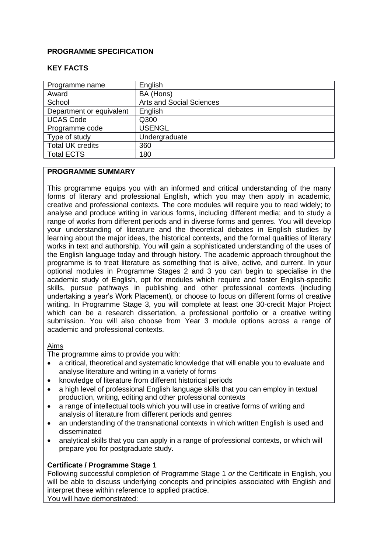#### **PROGRAMME SPECIFICATION**

## **KEY FACTS**

| Programme name           | English                         |
|--------------------------|---------------------------------|
| Award                    | BA (Hons)                       |
| School                   | <b>Arts and Social Sciences</b> |
| Department or equivalent | English                         |
| <b>UCAS Code</b>         | Q300                            |
| Programme code           | <b>USENGL</b>                   |
| Type of study            | Undergraduate                   |
| <b>Total UK credits</b>  | 360                             |
| <b>Total ECTS</b>        | 180                             |

# **PROGRAMME SUMMARY**

This programme equips you with an informed and critical understanding of the many forms of literary and professional English, which you may then apply in academic, creative and professional contexts. The core modules will require you to read widely; to analyse and produce writing in various forms, including different media; and to study a range of works from different periods and in diverse forms and genres. You will develop your understanding of literature and the theoretical debates in English studies by learning about the major ideas, the historical contexts, and the formal qualities of literary works in text and authorship. You will gain a sophisticated understanding of the uses of the English language today and through history. The academic approach throughout the programme is to treat literature as something that is alive, active, and current. In your optional modules in Programme Stages 2 and 3 you can begin to specialise in the academic study of English, opt for modules which require and foster English-specific skills, pursue pathways in publishing and other professional contexts (including undertaking a year's Work Placement), or choose to focus on different forms of creative writing. In Programme Stage 3, you will complete at least one 30-credit Major Project which can be a research dissertation, a professional portfolio or a creative writing submission. You will also choose from Year 3 module options across a range of academic and professional contexts.

#### Aims

The programme aims to provide you with:

- a critical, theoretical and systematic knowledge that will enable you to evaluate and analyse literature and writing in a variety of forms
- knowledge of literature from different historical periods
- a high level of professional English language skills that you can employ in textual production, writing, editing and other professional contexts
- a range of intellectual tools which you will use in creative forms of writing and analysis of literature from different periods and genres
- an understanding of the transnational contexts in which written English is used and disseminated
- analytical skills that you can apply in a range of professional contexts, or which will prepare you for postgraduate study.

# **Certificate / Programme Stage 1**

Following successful completion of Programme Stage 1 *or* the Certificate in English, you will be able to discuss underlying concepts and principles associated with English and interpret these within reference to applied practice.

You will have demonstrated: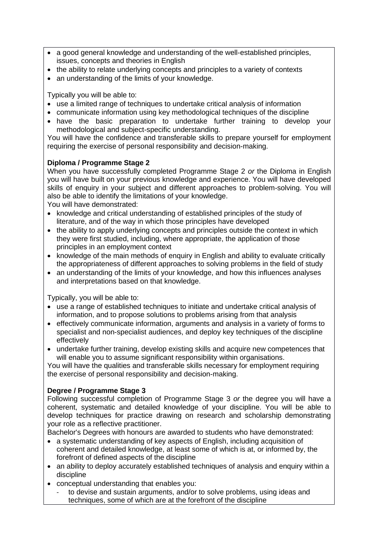- a good general knowledge and understanding of the well-established principles, issues, concepts and theories in English
- the ability to relate underlying concepts and principles to a variety of contexts
- an understanding of the limits of your knowledge.

Typically you will be able to:

- use a limited range of techniques to undertake critical analysis of information
- communicate information using key methodological techniques of the discipline
- have the basic preparation to undertake further training to develop your methodological and subject-specific understanding.

You will have the confidence and transferable skills to prepare yourself for employment requiring the exercise of personal responsibility and decision-making.

## **Diploma / Programme Stage 2**

When you have successfully completed Programme Stage 2 *or* the Diploma in English you will have built on your previous knowledge and experience. You will have developed skills of enquiry in your subject and different approaches to problem-solving. You will also be able to identify the limitations of your knowledge.

You will have demonstrated:

- knowledge and critical understanding of established principles of the study of literature, and of the way in which those principles have developed
- the ability to apply underlying concepts and principles outside the context in which they were first studied, including, where appropriate, the application of those principles in an employment context
- knowledge of the main methods of enquiry in English and ability to evaluate critically the appropriateness of different approaches to solving problems in the field of study
- an understanding of the limits of your knowledge, and how this influences analyses and interpretations based on that knowledge.

Typically, you will be able to:

- use a range of established techniques to initiate and undertake critical analysis of information, and to propose solutions to problems arising from that analysis
- effectively communicate information, arguments and analysis in a variety of forms to specialist and non-specialist audiences, and deploy key techniques of the discipline effectively
- undertake further training, develop existing skills and acquire new competences that will enable you to assume significant responsibility within organisations.

You will have the qualities and transferable skills necessary for employment requiring the exercise of personal responsibility and decision-making.

# **Degree / Programme Stage 3**

Following successful completion of Programme Stage 3 *or* the degree you will have a coherent, systematic and detailed knowledge of your discipline. You will be able to develop techniques for practice drawing on research and scholarship demonstrating your role as a reflective practitioner.

Bachelor's Degrees with honours are awarded to students who have demonstrated:

- a systematic understanding of key aspects of English, including acquisition of coherent and detailed knowledge, at least some of which is at, or informed by, the forefront of defined aspects of the discipline
- an ability to deploy accurately established techniques of analysis and enquiry within a discipline
- conceptual understanding that enables you:
	- to devise and sustain arguments, and/or to solve problems, using ideas and techniques, some of which are at the forefront of the discipline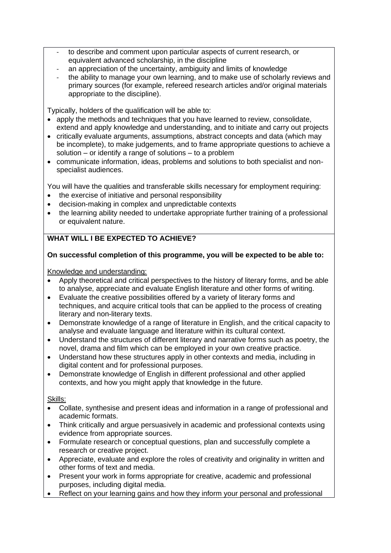- to describe and comment upon particular aspects of current research, or equivalent advanced scholarship, in the discipline
- an appreciation of the uncertainty, ambiguity and limits of knowledge
- the ability to manage your own learning, and to make use of scholarly reviews and primary sources (for example, refereed research articles and/or original materials appropriate to the discipline).

Typically, holders of the qualification will be able to:

- apply the methods and techniques that you have learned to review, consolidate, extend and apply knowledge and understanding, and to initiate and carry out projects
- critically evaluate arguments, assumptions, abstract concepts and data (which may be incomplete), to make judgements, and to frame appropriate questions to achieve a solution – or identify a range of solutions – to a problem
- communicate information, ideas, problems and solutions to both specialist and nonspecialist audiences.

You will have the qualities and transferable skills necessary for employment requiring:

- the exercise of initiative and personal responsibility
- decision-making in complex and unpredictable contexts
- the learning ability needed to undertake appropriate further training of a professional or equivalent nature.

# **WHAT WILL I BE EXPECTED TO ACHIEVE?**

## **On successful completion of this programme, you will be expected to be able to:**

Knowledge and understanding:

- Apply theoretical and critical perspectives to the history of literary forms, and be able to analyse, appreciate and evaluate English literature and other forms of writing.
- Evaluate the creative possibilities offered by a variety of literary forms and techniques, and acquire critical tools that can be applied to the process of creating literary and non-literary texts.
- Demonstrate knowledge of a range of literature in English, and the critical capacity to analyse and evaluate language and literature within its cultural context.
- Understand the structures of different literary and narrative forms such as poetry, the novel, drama and film which can be employed in your own creative practice.
- Understand how these structures apply in other contexts and media, including in digital content and for professional purposes.
- Demonstrate knowledge of English in different professional and other applied contexts, and how you might apply that knowledge in the future.

Skills:

- Collate, synthesise and present ideas and information in a range of professional and academic formats.
- Think critically and argue persuasively in academic and professional contexts using evidence from appropriate sources.
- Formulate research or conceptual questions, plan and successfully complete a research or creative project.
- Appreciate, evaluate and explore the roles of creativity and originality in written and other forms of text and media.
- Present your work in forms appropriate for creative, academic and professional purposes, including digital media.
- Reflect on your learning gains and how they inform your personal and professional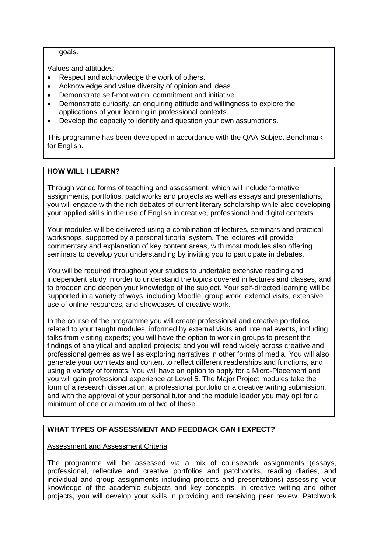goals.

Values and attitudes:

- Respect and acknowledge the work of others.
- Acknowledge and value diversity of opinion and ideas.
- Demonstrate self-motivation, commitment and initiative.
- Demonstrate curiosity, an enquiring attitude and willingness to explore the applications of your learning in professional contexts.
- Develop the capacity to identify and question your own assumptions.

This programme has been developed in accordance with the QAA Subject Benchmark for English.

## **HOW WILL I LEARN?**

Through varied forms of teaching and assessment, which will include formative assignments, portfolios, patchworks and projects as well as essays and presentations, you will engage with the rich debates of current literary scholarship while also developing your applied skills in the use of English in creative, professional and digital contexts.

Your modules will be delivered using a combination of lectures, seminars and practical workshops, supported by a personal tutorial system. The lectures will provide commentary and explanation of key content areas, with most modules also offering seminars to develop your understanding by inviting you to participate in debates.

You will be required throughout your studies to undertake extensive reading and independent study in order to understand the topics covered in lectures and classes, and to broaden and deepen your knowledge of the subject. Your self-directed learning will be supported in a variety of ways, including Moodle, group work, external visits, extensive use of online resources, and showcases of creative work.

In the course of the programme you will create professional and creative portfolios related to your taught modules, informed by external visits and internal events, including talks from visiting experts; you will have the option to work in groups to present the findings of analytical and applied projects; and you will read widely across creative and professional genres as well as exploring narratives in other forms of media. You will also generate your own texts and content to reflect different readerships and functions, and using a variety of formats. You will have an option to apply for a Micro-Placement and you will gain professional experience at Level 5. The Major Project modules take the form of a research dissertation, a professional portfolio or a creative writing submission, and with the approval of your personal tutor and the module leader you may opt for a minimum of one or a maximum of two of these.

# **WHAT TYPES OF ASSESSMENT AND FEEDBACK CAN I EXPECT?**

#### Assessment and Assessment Criteria

The programme will be assessed via a mix of coursework assignments (essays, professional, reflective and creative portfolios and patchworks, reading diaries, and individual and group assignments including projects and presentations) assessing your knowledge of the academic subjects and key concepts. In creative writing and other projects, you will develop your skills in providing and receiving peer review. Patchwork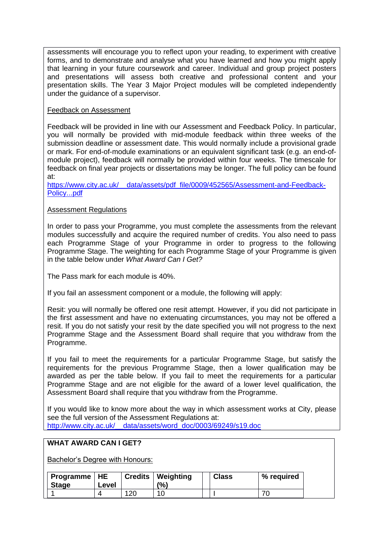assessments will encourage you to reflect upon your reading, to experiment with creative forms, and to demonstrate and analyse what you have learned and how you might apply that learning in your future coursework and career. Individual and group project posters and presentations will assess both creative and professional content and your presentation skills. The Year 3 Major Project modules will be completed independently under the guidance of a supervisor.

#### Feedback on Assessment

Feedback will be provided in line with our Assessment and Feedback Policy. In particular, you will normally be provided with mid-module feedback within three weeks of the submission deadline or assessment date. This would normally include a provisional grade or mark. For end-of-module examinations or an equivalent significant task (e.g. an end-ofmodule project), feedback will normally be provided within four weeks. The timescale for feedback on final year projects or dissertations may be longer. The full policy can be found at:

https://www.city.ac.uk/ data/assets/pdf file/0009/452565/Assessment-and-Feedback-[Policy...pdf](https://www.city.ac.uk/__data/assets/pdf_file/0009/452565/Assessment-and-Feedback-Policy...pdf)

## Assessment Regulations

In order to pass your Programme, you must complete the assessments from the relevant modules successfully and acquire the required number of credits. You also need to pass each Programme Stage of your Programme in order to progress to the following Programme Stage. The weighting for each Programme Stage of your Programme is given in the table below under *What Award Can I Get?*

The Pass mark for each module is 40%.

If you fail an assessment component or a module, the following will apply:

Resit: you will normally be offered one resit attempt. However, if you did not participate in the first assessment and have no extenuating circumstances, you may not be offered a resit. If you do not satisfy your resit by the date specified you will not progress to the next Programme Stage and the Assessment Board shall require that you withdraw from the Programme.

If you fail to meet the requirements for a particular Programme Stage, but satisfy the requirements for the previous Programme Stage, then a lower qualification may be awarded as per the table below. If you fail to meet the requirements for a particular Programme Stage and are not eligible for the award of a lower level qualification, the Assessment Board shall require that you withdraw from the Programme.

If you would like to know more about the way in which assessment works at City, please see the full version of the Assessment Regulations at: [http://www.city.ac.uk/\\_\\_data/assets/word\\_doc/0003/69249/s19.doc](http://www.city.ac.uk/__data/assets/word_doc/0003/69249/s19.doc)

#### **WHAT AWARD CAN I GET?**

Bachelor's Degree with Honours:

| <b>∣ Programme   HE</b><br><b>Stage</b> | Level |     | <b>Credits   Weighting</b><br>$\frac{10}{6}$ | <b>Class</b> | % required |
|-----------------------------------------|-------|-----|----------------------------------------------|--------------|------------|
|                                         |       | 10٢ | 10                                           |              |            |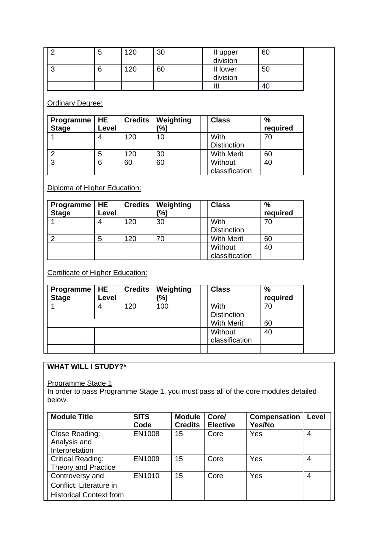|   | ა | 120 | 30 | 60<br>II upper<br>division |  |
|---|---|-----|----|----------------------------|--|
| ັ | 6 | 120 | 60 | II lower<br>50<br>division |  |
|   |   |     |    | Ш<br>-40                   |  |

**Ordinary Degree:** 

| Programme<br><b>Stage</b> | <b>HE</b><br>Level | <b>Credits</b> | Weighting<br>(%) | <b>Class</b>               | %<br>required           |
|---------------------------|--------------------|----------------|------------------|----------------------------|-------------------------|
|                           |                    | 120            | 10               | With<br><b>Distinction</b> | 70                      |
|                           |                    | 120            | 30               |                            | <b>With Merit</b><br>60 |
| ົ                         | 6                  | 60             | 60               | Without                    | 40<br>classification    |

# Diploma of Higher Education:

| Programme<br><b>Stage</b> | <b>HE</b><br>Level | <b>Credits</b> | Weighting<br>(%) | <b>Class</b>               | %<br>required |
|---------------------------|--------------------|----------------|------------------|----------------------------|---------------|
|                           |                    | 120            | 30               | With<br><b>Distinction</b> | 70            |
| ⌒                         | 5                  | 120            | 70               | <b>With Merit</b>          | 60            |
|                           |                    |                |                  | Without<br>classification  | 40            |

Certificate of Higher Education:

| Programme<br><b>Stage</b> | <b>HE</b><br>Level | <b>Credits</b> | Weighting<br>$\frac{1}{2}$ | <b>Class</b>               | $\frac{9}{6}$<br>required |
|---------------------------|--------------------|----------------|----------------------------|----------------------------|---------------------------|
|                           |                    | 120            | 100                        | With<br><b>Distinction</b> | 70                        |
|                           |                    |                |                            | <b>With Merit</b>          | 60                        |
|                           |                    |                |                            | Without<br>classification  | 40                        |
|                           |                    |                |                            |                            |                           |

# **WHAT WILL I STUDY?\***

Programme Stage 1

In order to pass Programme Stage 1, you must pass all of the core modules detailed below.

| <b>Module Title</b>                                                          | <b>SITS</b><br>Code | <b>Module</b><br><b>Credits</b> | Core/<br><b>Elective</b> | <b>Compensation</b><br>Yes/No | Level          |
|------------------------------------------------------------------------------|---------------------|---------------------------------|--------------------------|-------------------------------|----------------|
| Close Reading:<br>Analysis and<br>Interpretation                             | EN1008              | 15                              | Core                     | Yes                           | 4              |
| <b>Critical Reading:</b><br>Theory and Practice                              | EN1009              | 15                              | Core                     | Yes                           | 4              |
| Controversy and<br>Conflict: Literature in<br><b>Historical Context from</b> | EN1010              | 15                              | Core                     | Yes                           | $\overline{4}$ |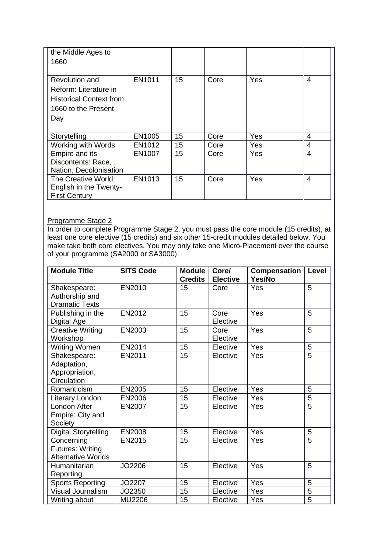| the Middle Ages to<br>1660                                                                              |        |    |      |            |   |
|---------------------------------------------------------------------------------------------------------|--------|----|------|------------|---|
| Revolution and<br>Reform: Literature in<br><b>Historical Context from</b><br>1660 to the Present<br>Day | EN1011 | 15 | Core | Yes        | 4 |
| Storytelling                                                                                            | EN1005 | 15 | Core | Yes        | 4 |
| Working with Words                                                                                      | EN1012 | 15 | Core | <b>Yes</b> | 4 |
| Empire and its<br>Discontents: Race,<br>Nation, Decolonisation                                          | EN1007 | 15 | Core | Yes        | 4 |
| The Creative World:<br>English in the Twenty-<br><b>First Century</b>                                   | EN1013 | 15 | Core | Yes        | 4 |

#### Programme Stage 2

In order to complete Programme Stage 2, you must pass the core module (15 credits), at least one core elective (15 credits) and six other 15-credit modules detailed below. You make take both core electives. You may only take one Micro-Placement over the course of your programme (SA2000 or SA3000).

| <b>Module Title</b>         | <b>SITS Code</b> | <b>Module</b><br><b>Credits</b> | Core/<br><b>Elective</b> | Compensation<br>Yes/No | Level          |
|-----------------------------|------------------|---------------------------------|--------------------------|------------------------|----------------|
| Shakespeare:                | EN2010           | 15                              | Core                     | Yes                    | 5              |
| Authorship and              |                  |                                 |                          |                        |                |
| <b>Dramatic Texts</b>       |                  |                                 |                          |                        |                |
| Publishing in the           | EN2012           | 15                              | Core                     | Yes                    | 5              |
| Digital Age                 |                  |                                 | Elective                 |                        |                |
| <b>Creative Writing</b>     | EN2003           | 15                              | Core                     | Yes                    | 5              |
| Workshop                    |                  |                                 | Elective                 |                        |                |
| <b>Writing Women</b>        | EN2014           | 15                              | Elective                 | Yes                    | 5              |
| Shakespeare:                | EN2011           | 15                              | Elective                 | Yes                    | $\overline{5}$ |
| Adaptation,                 |                  |                                 |                          |                        |                |
| Appropriation,              |                  |                                 |                          |                        |                |
| Circulation                 |                  |                                 |                          |                        |                |
| Romanticism                 | EN2005           | 15                              | Elective                 | Yes                    | 5              |
| Literary London             | EN2006           | 15                              | Elective                 | Yes                    | 5              |
| London After                | EN2007           | 15                              | Elective                 | Yes                    | $\overline{5}$ |
| Empire: City and            |                  |                                 |                          |                        |                |
| Society                     |                  |                                 |                          |                        |                |
| <b>Digital Storytelling</b> | EN2008           | 15                              | Elective                 | Yes                    | 5              |
| Concerning                  | EN2015           | 15                              | Elective                 | Yes                    | 5              |
| <b>Futures: Writing</b>     |                  |                                 |                          |                        |                |
| <b>Alternative Worlds</b>   |                  |                                 |                          |                        |                |
| Humanitarian                | JO2206           | 15                              | Elective                 | Yes                    | 5              |
| Reporting                   |                  |                                 |                          |                        |                |
| <b>Sports Reporting</b>     | JO2207           | 15                              | Elective                 | Yes                    | 5              |
| Visual Journalism           | JO2350           | 15                              | Elective                 | Yes                    | 5              |
| Writing about               | MU2206           | 15                              | Elective                 | Yes                    | 5              |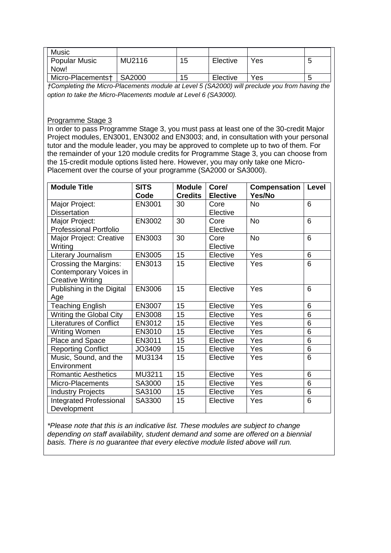| <b>Music</b>      |        |    |          |     |                          |
|-------------------|--------|----|----------|-----|--------------------------|
| Popular Music     | MU2116 | 15 | Elective | Yes | ъ.                       |
| Now!              |        |    |          |     |                          |
| Micro-Placements† | SA2000 | 15 | Elective | Yes | $\overline{\phantom{a}}$ |

*†Completing the Micro-Placements module at Level 5 (SA2000) will preclude you from having the option to take the Micro-Placements module at Level 6 (SA3000).*

#### Programme Stage 3

In order to pass Programme Stage 3, you must pass at least one of the 30-credit Major Project modules, EN3001, EN3002 and EN3003; and, in consultation with your personal tutor and the module leader, you may be approved to complete up to two of them. For the remainder of your 120 module credits for Programme Stage 3, you can choose from the 15-credit module options listed here. However, you may only take one Micro-Placement over the course of your programme (SA2000 or SA3000).

| <b>Module Title</b>            | <b>SITS</b><br>Code | <b>Module</b><br><b>Credits</b> | Core/<br><b>Elective</b> | Compensation<br>Yes/No | <b>Level</b> |
|--------------------------------|---------------------|---------------------------------|--------------------------|------------------------|--------------|
|                                |                     | 30                              |                          | <b>No</b>              | 6            |
| Major Project:                 | EN3001              |                                 | Core                     |                        |              |
| <b>Dissertation</b>            |                     |                                 | Elective                 |                        |              |
| Major Project:                 | EN3002              | 30                              | Core                     | <b>No</b>              | 6            |
| <b>Professional Portfolio</b>  |                     |                                 | Elective                 |                        |              |
| Major Project: Creative        | EN3003              | 30                              | Core                     | <b>No</b>              | 6            |
| Writing                        |                     |                                 | Elective                 |                        |              |
| Literary Journalism            | <b>EN3005</b>       | 15                              | Elective                 | Yes                    | 6            |
| <b>Crossing the Margins:</b>   | EN3013              | 15                              | Elective                 | Yes                    | 6            |
| Contemporary Voices in         |                     |                                 |                          |                        |              |
| <b>Creative Writing</b>        |                     |                                 |                          |                        |              |
| Publishing in the Digital      | EN3006              | 15                              | Elective                 | Yes                    | 6            |
| Age                            |                     |                                 |                          |                        |              |
| <b>Teaching English</b>        | EN3007              | 15                              | Elective                 | Yes                    | 6            |
| <b>Writing the Global City</b> | EN3008              | 15                              | Elective                 | Yes                    | 6            |
| <b>Literatures of Conflict</b> | EN3012              | 15                              | Elective                 | Yes                    | 6            |
| <b>Writing Women</b>           | EN3010              | 15                              | Elective                 | Yes                    | 6            |
| Place and Space                | EN3011              | 15                              | Elective                 | Yes                    | 6            |
| <b>Reporting Conflict</b>      | JO3409              | 15                              | Elective                 | Yes                    | 6            |
| Music, Sound, and the          | MU3134              | 15                              | Elective                 | Yes                    | 6            |
| Environment                    |                     |                                 |                          |                        |              |
| <b>Romantic Aesthetics</b>     | MU3211              | 15                              | Elective                 | Yes                    | 6            |
| Micro-Placements               | SA3000              | 15                              | Elective                 | Yes                    | 6            |
| <b>Industry Projects</b>       | SA3100              | 15                              | Elective                 | Yes                    | 6            |
| <b>Integrated Professional</b> | SA3300              | 15                              | Elective                 | Yes                    | 6            |
| Development                    |                     |                                 |                          |                        |              |

*\*Please note that this is an indicative list. These modules are subject to change depending on staff availability, student demand and some are offered on a biennial basis. There is no guarantee that every elective module listed above will run.*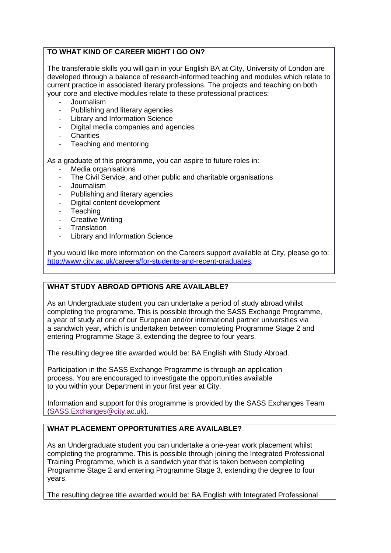## **TO WHAT KIND OF CAREER MIGHT I GO ON?**

The transferable skills you will gain in your English BA at City, University of London are developed through a balance of research-informed teaching and modules which relate to current practice in associated literary professions. The projects and teaching on both your core and elective modules relate to these professional practices:

- Journalism
- Publishing and literary agencies
- Library and Information Science
- Digital media companies and agencies
- Charities
- Teaching and mentoring

As a graduate of this programme, you can aspire to future roles in:

- Media organisations
- The Civil Service, and other public and charitable organisations
- Journalism
- Publishing and literary agencies
- Digital content development
- Teaching
- Creative Writing
- **Translation**
- Library and Information Science

If you would like more information on the Careers support available at City, please go to: [http://www.city.ac.uk/careers/for-students-and-recent-graduates.](http://www.city.ac.uk/careers/for-students-and-recent-graduates)

# **WHAT STUDY ABROAD OPTIONS ARE AVAILABLE?**

As an Undergraduate student you can undertake a period of study abroad whilst completing the programme. This is possible through the SASS Exchange Programme, a year of study at one of our European and/or international partner universities via a sandwich year, which is undertaken between completing Programme Stage 2 and entering Programme Stage 3, extending the degree to four years.

The resulting degree title awarded would be: BA English with Study Abroad.

Participation in the SASS Exchange Programme is through an application process. You are encouraged to investigate the opportunities available to you within your Department in your first year at City.

Information and support for this programme is provided by the SASS Exchanges Team [\(SASS.Exchanges@city.ac.uk\)](mailto:SASS.Exchanges@city.ac.uk).

# **WHAT PLACEMENT OPPORTUNITIES ARE AVAILABLE?**

As an Undergraduate student you can undertake a one-year work placement whilst completing the programme. This is possible through joining the Integrated Professional Training Programme, which is a sandwich year that is taken between completing Programme Stage 2 and entering Programme Stage 3, extending the degree to four years.

The resulting degree title awarded would be: BA English with Integrated Professional